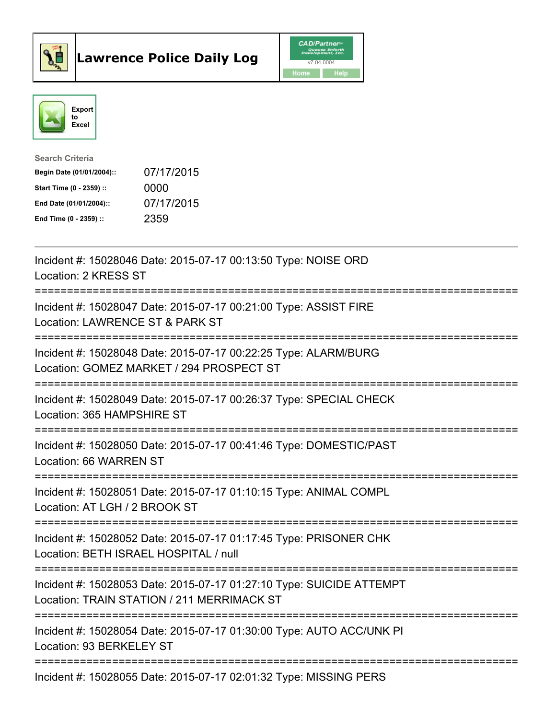



| <b>Search Criteria</b>    |            |
|---------------------------|------------|
| Begin Date (01/01/2004):: | 07/17/2015 |
| Start Time (0 - 2359) ::  | 0000       |
| End Date (01/01/2004)::   | 07/17/2015 |
| End Time (0 - 2359) ::    | 2359       |

| Incident #: 15028046 Date: 2015-07-17 00:13:50 Type: NOISE ORD<br>Location: 2 KRESS ST                                                            |
|---------------------------------------------------------------------------------------------------------------------------------------------------|
| Incident #: 15028047 Date: 2015-07-17 00:21:00 Type: ASSIST FIRE<br>Location: LAWRENCE ST & PARK ST<br>---------------------                      |
| Incident #: 15028048 Date: 2015-07-17 00:22:25 Type: ALARM/BURG<br>Location: GOMEZ MARKET / 294 PROSPECT ST<br>========================           |
| Incident #: 15028049 Date: 2015-07-17 00:26:37 Type: SPECIAL CHECK<br>Location: 365 HAMPSHIRE ST<br>-------------------                           |
| Incident #: 15028050 Date: 2015-07-17 00:41:46 Type: DOMESTIC/PAST<br>Location: 66 WARREN ST<br>-----------------                                 |
| Incident #: 15028051 Date: 2015-07-17 01:10:15 Type: ANIMAL COMPL<br>Location: AT LGH / 2 BROOK ST<br>===================                         |
| Incident #: 15028052 Date: 2015-07-17 01:17:45 Type: PRISONER CHK<br>Location: BETH ISRAEL HOSPITAL / null                                        |
| ===========================<br>Incident #: 15028053 Date: 2015-07-17 01:27:10 Type: SUICIDE ATTEMPT<br>Location: TRAIN STATION / 211 MERRIMACK ST |
| ============================<br>Incident #: 15028054 Date: 2015-07-17 01:30:00 Type: AUTO ACC/UNK PI<br>Location: 93 BERKELEY ST                  |
| Incident #: 15028055 Date: 2015-07-17 02:01:32 Type: MISSING PERS                                                                                 |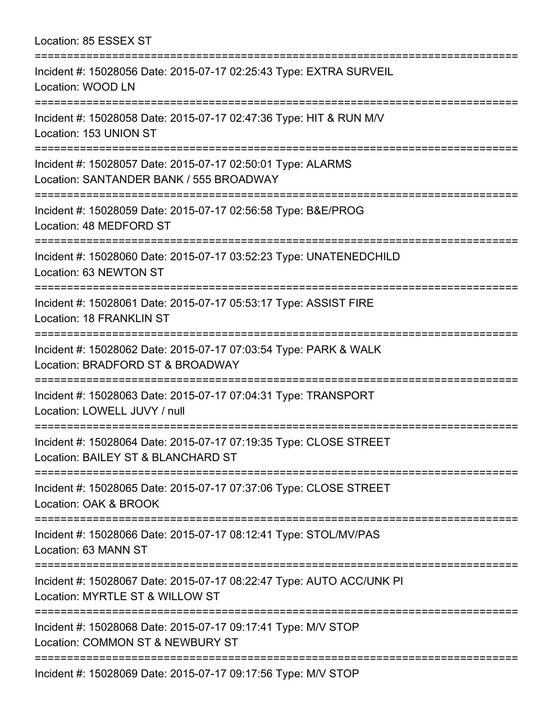Location: 85 ESSEX ST =========================================================================== Incident #: 15028056 Date: 2015-07-17 02:25:43 Type: EXTRA SURVEIL Location: WOOD LN =========================================================================== Incident #: 15028058 Date: 2015-07-17 02:47:36 Type: HIT & RUN M/V Location: 153 UNION ST =========================================================================== Incident #: 15028057 Date: 2015-07-17 02:50:01 Type: ALARMS Location: SANTANDER BANK / 555 BROADWAY =========================================================================== Incident #: 15028059 Date: 2015-07-17 02:56:58 Type: B&E/PROG Location: 48 MEDFORD ST =========================================================================== Incident #: 15028060 Date: 2015-07-17 03:52:23 Type: UNATENEDCHILD Location: 63 NEWTON ST =========================================================================== Incident #: 15028061 Date: 2015-07-17 05:53:17 Type: ASSIST FIRE Location: 18 FRANKLIN ST =========================================================================== Incident #: 15028062 Date: 2015-07-17 07:03:54 Type: PARK & WALK Location: BRADFORD ST & BROADWAY =========================================================================== Incident #: 15028063 Date: 2015-07-17 07:04:31 Type: TRANSPORT Location: LOWELL JUVY / null =========================================================================== Incident #: 15028064 Date: 2015-07-17 07:19:35 Type: CLOSE STREET Location: BAILEY ST & BLANCHARD ST =========================================================================== Incident #: 15028065 Date: 2015-07-17 07:37:06 Type: CLOSE STREET Location: OAK & BROOK =========================================================================== Incident #: 15028066 Date: 2015-07-17 08:12:41 Type: STOL/MV/PAS Location: 63 MANN ST =========================================================================== Incident #: 15028067 Date: 2015-07-17 08:22:47 Type: AUTO ACC/UNK PI Location: MYRTLE ST & WILLOW ST =========================================================================== Incident #: 15028068 Date: 2015-07-17 09:17:41 Type: M/V STOP Location: COMMON ST & NEWBURY ST =========================================================================== Incident #: 15028069 Date: 2015-07-17 09:17:56 Type: M/V STOP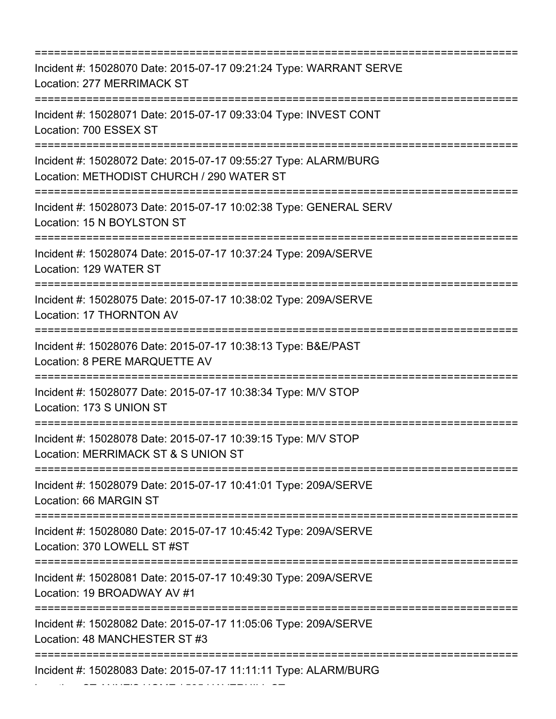=========================================================================== Incident #: 15028070 Date: 2015-07-17 09:21:24 Type: WARRANT SERVE Location: 277 MERRIMACK ST =========================================================================== Incident #: 15028071 Date: 2015-07-17 09:33:04 Type: INVEST CONT Location: 700 ESSEX ST =========================================================================== Incident #: 15028072 Date: 2015-07-17 09:55:27 Type: ALARM/BURG Location: METHODIST CHURCH / 290 WATER ST =========================================================================== Incident #: 15028073 Date: 2015-07-17 10:02:38 Type: GENERAL SERV Location: 15 N BOYLSTON ST =========================================================================== Incident #: 15028074 Date: 2015-07-17 10:37:24 Type: 209A/SERVE Location: 129 WATER ST =========================================================================== Incident #: 15028075 Date: 2015-07-17 10:38:02 Type: 209A/SERVE Location: 17 THORNTON AV =========================================================================== Incident #: 15028076 Date: 2015-07-17 10:38:13 Type: B&E/PAST Location: 8 PERE MARQUETTE AV =========================================================================== Incident #: 15028077 Date: 2015-07-17 10:38:34 Type: M/V STOP Location: 173 S UNION ST =========================================================================== Incident #: 15028078 Date: 2015-07-17 10:39:15 Type: M/V STOP Location: MERRIMACK ST & S UNION ST =========================================================================== Incident #: 15028079 Date: 2015-07-17 10:41:01 Type: 209A/SERVE Location: 66 MARGIN ST =========================================================================== Incident #: 15028080 Date: 2015-07-17 10:45:42 Type: 209A/SERVE Location: 370 LOWELL ST #ST =========================================================================== Incident #: 15028081 Date: 2015-07-17 10:49:30 Type: 209A/SERVE Location: 19 BROADWAY AV #1 =========================================================================== Incident #: 15028082 Date: 2015-07-17 11:05:06 Type: 209A/SERVE Location: 48 MANCHESTER ST #3 =========================================================================== Incident #: 15028083 Date: 2015-07-17 11:11:11 Type: ALARM/BURG

Location: ST ANNE'S HOME / 595 HAVERHILL ST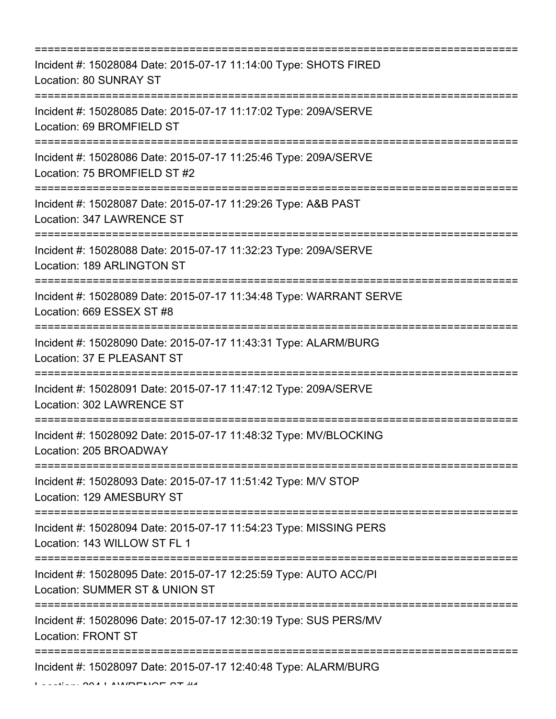| Incident #: 15028084 Date: 2015-07-17 11:14:00 Type: SHOTS FIRED<br>Location: 80 SUNRAY ST                                                                                  |
|-----------------------------------------------------------------------------------------------------------------------------------------------------------------------------|
| :===================================<br>Incident #: 15028085 Date: 2015-07-17 11:17:02 Type: 209A/SERVE<br>Location: 69 BROMFIELD ST<br>----------------------------------- |
| Incident #: 15028086 Date: 2015-07-17 11:25:46 Type: 209A/SERVE<br>Location: 75 BROMFIELD ST #2                                                                             |
| Incident #: 15028087 Date: 2015-07-17 11:29:26 Type: A&B PAST<br>Location: 347 LAWRENCE ST                                                                                  |
| Incident #: 15028088 Date: 2015-07-17 11:32:23 Type: 209A/SERVE<br>Location: 189 ARLINGTON ST                                                                               |
| Incident #: 15028089 Date: 2015-07-17 11:34:48 Type: WARRANT SERVE<br>Location: 669 ESSEX ST #8                                                                             |
| :====================================<br>Incident #: 15028090 Date: 2015-07-17 11:43:31 Type: ALARM/BURG<br>Location: 37 E PLEASANT ST                                      |
| Incident #: 15028091 Date: 2015-07-17 11:47:12 Type: 209A/SERVE<br>Location: 302 LAWRENCE ST                                                                                |
| Incident #: 15028092 Date: 2015-07-17 11:48:32 Type: MV/BLOCKING<br>Location: 205 BROADWAY                                                                                  |
| Incident #: 15028093 Date: 2015-07-17 11:51:42 Type: M/V STOP<br>Location: 129 AMESBURY ST                                                                                  |
| Incident #: 15028094 Date: 2015-07-17 11:54:23 Type: MISSING PERS<br>Location: 143 WILLOW ST FL 1                                                                           |
| Incident #: 15028095 Date: 2015-07-17 12:25:59 Type: AUTO ACC/PI<br>Location: SUMMER ST & UNION ST                                                                          |
| Incident #: 15028096 Date: 2015-07-17 12:30:19 Type: SUS PERS/MV<br><b>Location: FRONT ST</b>                                                                               |
| Incident #: 15028097 Date: 2015-07-17 12:40:48 Type: ALARM/BURG                                                                                                             |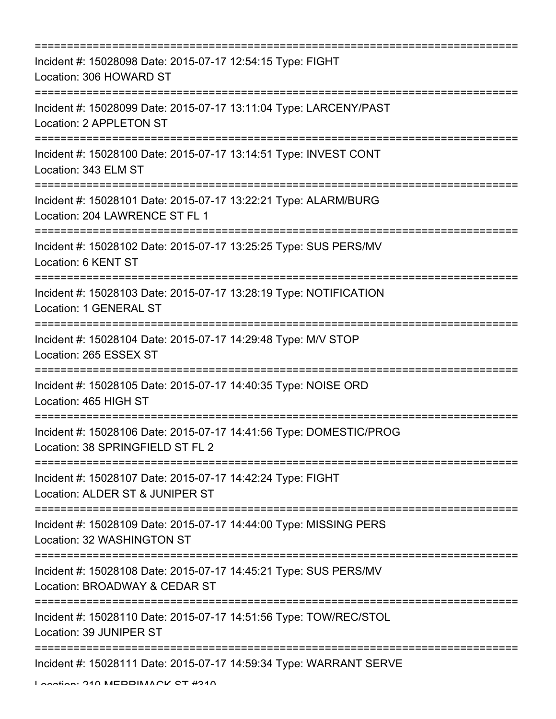| ==========================                                                                                           |
|----------------------------------------------------------------------------------------------------------------------|
| Incident #: 15028098 Date: 2015-07-17 12:54:15 Type: FIGHT<br>Location: 306 HOWARD ST                                |
| Incident #: 15028099 Date: 2015-07-17 13:11:04 Type: LARCENY/PAST<br>Location: 2 APPLETON ST                         |
| Incident #: 15028100 Date: 2015-07-17 13:14:51 Type: INVEST CONT<br>Location: 343 ELM ST                             |
| Incident #: 15028101 Date: 2015-07-17 13:22:21 Type: ALARM/BURG<br>Location: 204 LAWRENCE ST FL 1                    |
| Incident #: 15028102 Date: 2015-07-17 13:25:25 Type: SUS PERS/MV<br>Location: 6 KENT ST                              |
| Incident #: 15028103 Date: 2015-07-17 13:28:19 Type: NOTIFICATION<br><b>Location: 1 GENERAL ST</b>                   |
| Incident #: 15028104 Date: 2015-07-17 14:29:48 Type: M/V STOP<br>Location: 265 ESSEX ST                              |
| =========================<br>Incident #: 15028105 Date: 2015-07-17 14:40:35 Type: NOISE ORD<br>Location: 465 HIGH ST |
| Incident #: 15028106 Date: 2015-07-17 14:41:56 Type: DOMESTIC/PROG<br>Location: 38 SPRINGFIELD ST FL 2               |
| Incident #: 15028107 Date: 2015-07-17 14:42:24 Type: FIGHT<br>Location: ALDER ST & JUNIPER ST                        |
| Incident #: 15028109 Date: 2015-07-17 14:44:00 Type: MISSING PERS<br>Location: 32 WASHINGTON ST                      |
| Incident #: 15028108 Date: 2015-07-17 14:45:21 Type: SUS PERS/MV<br>Location: BROADWAY & CEDAR ST                    |
| Incident #: 15028110 Date: 2015-07-17 14:51:56 Type: TOW/REC/STOL<br>Location: 39 JUNIPER ST                         |
| Incident #: 15028111 Date: 2015-07-17 14:59:34 Type: WARRANT SERVE                                                   |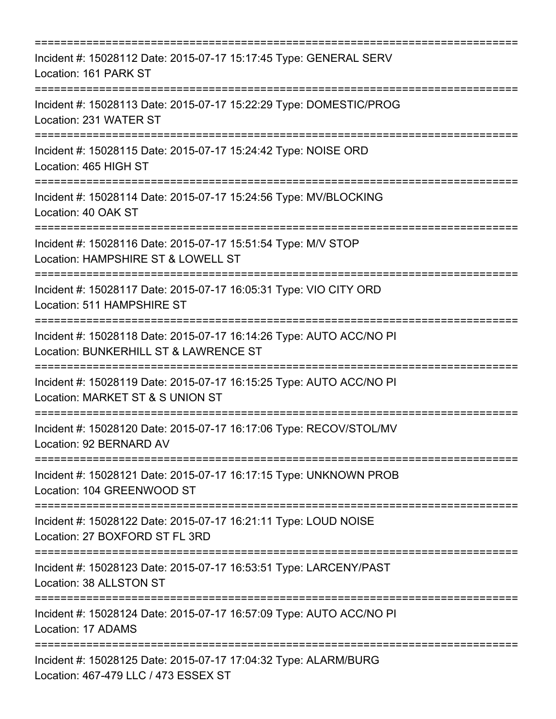| Incident #: 15028112 Date: 2015-07-17 15:17:45 Type: GENERAL SERV<br>Location: 161 PARK ST                                                |
|-------------------------------------------------------------------------------------------------------------------------------------------|
| Incident #: 15028113 Date: 2015-07-17 15:22:29 Type: DOMESTIC/PROG<br>Location: 231 WATER ST<br>==================================        |
| Incident #: 15028115 Date: 2015-07-17 15:24:42 Type: NOISE ORD<br>Location: 465 HIGH ST                                                   |
| Incident #: 15028114 Date: 2015-07-17 15:24:56 Type: MV/BLOCKING<br>Location: 40 OAK ST                                                   |
| Incident #: 15028116 Date: 2015-07-17 15:51:54 Type: M/V STOP<br>Location: HAMPSHIRE ST & LOWELL ST                                       |
| Incident #: 15028117 Date: 2015-07-17 16:05:31 Type: VIO CITY ORD<br>Location: 511 HAMPSHIRE ST<br>;===================================== |
| Incident #: 15028118 Date: 2015-07-17 16:14:26 Type: AUTO ACC/NO PI<br>Location: BUNKERHILL ST & LAWRENCE ST                              |
| Incident #: 15028119 Date: 2015-07-17 16:15:25 Type: AUTO ACC/NO PI<br>Location: MARKET ST & S UNION ST<br>:==========================    |
| Incident #: 15028120 Date: 2015-07-17 16:17:06 Type: RECOV/STOL/MV<br>Location: 92 BERNARD AV                                             |
| Incident #: 15028121 Date: 2015-07-17 16:17:15 Type: UNKNOWN PROB<br>Location: 104 GREENWOOD ST                                           |
| Incident #: 15028122 Date: 2015-07-17 16:21:11 Type: LOUD NOISE<br>Location: 27 BOXFORD ST FL 3RD                                         |
| Incident #: 15028123 Date: 2015-07-17 16:53:51 Type: LARCENY/PAST<br>Location: 38 ALLSTON ST<br>==================================        |
| Incident #: 15028124 Date: 2015-07-17 16:57:09 Type: AUTO ACC/NO PI<br>Location: 17 ADAMS                                                 |
| Incident #: 15028125 Date: 2015-07-17 17:04:32 Type: ALARM/BURG<br>Location: 467-479 LLC / 473 ESSEX ST                                   |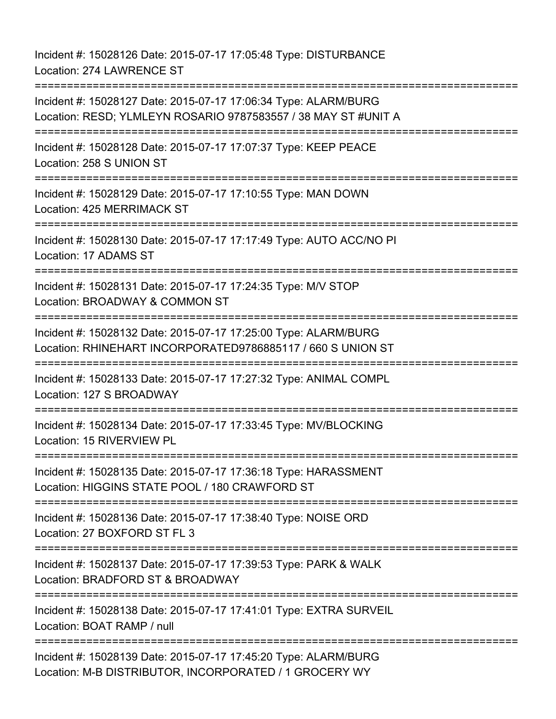Incident #: 15028126 Date: 2015-07-17 17:05:48 Type: DISTURBANCE Location: 274 LAWRENCE ST =========================================================================== Incident #: 15028127 Date: 2015-07-17 17:06:34 Type: ALARM/BURG Location: RESD; YLMLEYN ROSARIO 9787583557 / 38 MAY ST #UNIT A =========================================================================== Incident #: 15028128 Date: 2015-07-17 17:07:37 Type: KEEP PEACE Location: 258 S UNION ST =========================================================================== Incident #: 15028129 Date: 2015-07-17 17:10:55 Type: MAN DOWN Location: 425 MERRIMACK ST =========================================================================== Incident #: 15028130 Date: 2015-07-17 17:17:49 Type: AUTO ACC/NO PI Location: 17 ADAMS ST =========================================================================== Incident #: 15028131 Date: 2015-07-17 17:24:35 Type: M/V STOP Location: BROADWAY & COMMON ST =========================================================================== Incident #: 15028132 Date: 2015-07-17 17:25:00 Type: ALARM/BURG Location: RHINEHART INCORPORATED9786885117 / 660 S UNION ST =========================================================================== Incident #: 15028133 Date: 2015-07-17 17:27:32 Type: ANIMAL COMPL Location: 127 S BROADWAY =========================================================================== Incident #: 15028134 Date: 2015-07-17 17:33:45 Type: MV/BLOCKING Location: 15 RIVERVIEW PL =========================================================================== Incident #: 15028135 Date: 2015-07-17 17:36:18 Type: HARASSMENT Location: HIGGINS STATE POOL / 180 CRAWFORD ST =========================================================================== Incident #: 15028136 Date: 2015-07-17 17:38:40 Type: NOISE ORD Location: 27 BOXFORD ST FL 3 =========================================================================== Incident #: 15028137 Date: 2015-07-17 17:39:53 Type: PARK & WALK Location: BRADFORD ST & BROADWAY =========================================================================== Incident #: 15028138 Date: 2015-07-17 17:41:01 Type: EXTRA SURVEIL Location: BOAT RAMP / null ============================= Incident #: 15028139 Date: 2015-07-17 17:45:20 Type: ALARM/BURG Location: M-B DISTRIBUTOR, INCORPORATED / 1 GROCERY WY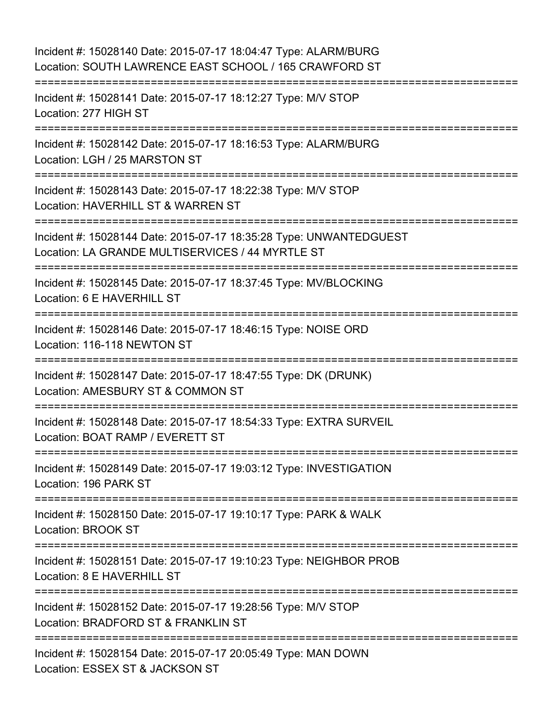| Incident #: 15028140 Date: 2015-07-17 18:04:47 Type: ALARM/BURG<br>Location: SOUTH LAWRENCE EAST SCHOOL / 165 CRAWFORD ST                           |
|-----------------------------------------------------------------------------------------------------------------------------------------------------|
| Incident #: 15028141 Date: 2015-07-17 18:12:27 Type: M/V STOP<br>Location: 277 HIGH ST                                                              |
| Incident #: 15028142 Date: 2015-07-17 18:16:53 Type: ALARM/BURG<br>Location: LGH / 25 MARSTON ST                                                    |
| Incident #: 15028143 Date: 2015-07-17 18:22:38 Type: M/V STOP<br>Location: HAVERHILL ST & WARREN ST                                                 |
| Incident #: 15028144 Date: 2015-07-17 18:35:28 Type: UNWANTEDGUEST<br>Location: LA GRANDE MULTISERVICES / 44 MYRTLE ST<br>:======================== |
| Incident #: 15028145 Date: 2015-07-17 18:37:45 Type: MV/BLOCKING<br>Location: 6 E HAVERHILL ST                                                      |
| Incident #: 15028146 Date: 2015-07-17 18:46:15 Type: NOISE ORD<br>Location: 116-118 NEWTON ST                                                       |
| Incident #: 15028147 Date: 2015-07-17 18:47:55 Type: DK (DRUNK)<br>Location: AMESBURY ST & COMMON ST                                                |
| Incident #: 15028148 Date: 2015-07-17 18:54:33 Type: EXTRA SURVEIL<br>Location: BOAT RAMP / EVERETT ST                                              |
| Incident #: 15028149 Date: 2015-07-17 19:03:12 Type: INVESTIGATION<br>Location: 196 PARK ST                                                         |
| Incident #: 15028150 Date: 2015-07-17 19:10:17 Type: PARK & WALK<br>Location: BROOK ST                                                              |
| ==============================<br>Incident #: 15028151 Date: 2015-07-17 19:10:23 Type: NEIGHBOR PROB<br>Location: 8 E HAVERHILL ST                  |
| Incident #: 15028152 Date: 2015-07-17 19:28:56 Type: M/V STOP<br>Location: BRADFORD ST & FRANKLIN ST                                                |
| Incident #: 15028154 Date: 2015-07-17 20:05:49 Type: MAN DOWN<br>Location: ESSEX ST & JACKSON ST                                                    |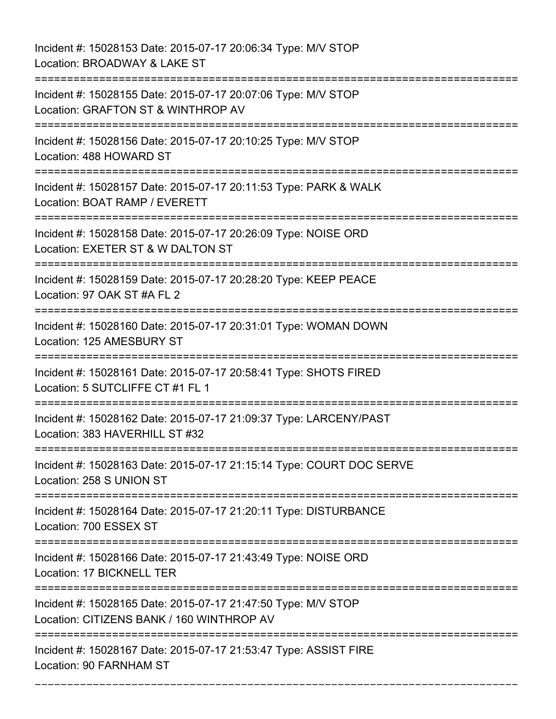Incident #: 15028153 Date: 2015-07-17 20:06:34 Type: M/V STOP Location: BROADWAY & LAKE ST =========================================================================== Incident #: 15028155 Date: 2015-07-17 20:07:06 Type: M/V STOP Location: GRAFTON ST & WINTHROP AV =========================================================================== Incident #: 15028156 Date: 2015-07-17 20:10:25 Type: M/V STOP Location: 488 HOWARD ST =========================================================================== Incident #: 15028157 Date: 2015-07-17 20:11:53 Type: PARK & WALK Location: BOAT RAMP / EVERETT =========================================================================== Incident #: 15028158 Date: 2015-07-17 20:26:09 Type: NOISE ORD Location: EXETER ST & W DALTON ST =========================================================================== Incident #: 15028159 Date: 2015-07-17 20:28:20 Type: KEEP PEACE Location: 97 OAK ST #A FL 2 =========================================================================== Incident #: 15028160 Date: 2015-07-17 20:31:01 Type: WOMAN DOWN Location: 125 AMESBURY ST =========================================================================== Incident #: 15028161 Date: 2015-07-17 20:58:41 Type: SHOTS FIRED Location: 5 SUTCLIFFE CT #1 FL 1 =========================================================================== Incident #: 15028162 Date: 2015-07-17 21:09:37 Type: LARCENY/PAST Location: 383 HAVERHILL ST #32 =========================================================================== Incident #: 15028163 Date: 2015-07-17 21:15:14 Type: COURT DOC SERVE Location: 258 S UNION ST =========================================================================== Incident #: 15028164 Date: 2015-07-17 21:20:11 Type: DISTURBANCE Location: 700 ESSEX ST =========================================================================== Incident #: 15028166 Date: 2015-07-17 21:43:49 Type: NOISE ORD Location: 17 BICKNELL TER =========================================================================== Incident #: 15028165 Date: 2015-07-17 21:47:50 Type: M/V STOP Location: CITIZENS BANK / 160 WINTHROP AV =========================================================================== Incident #: 15028167 Date: 2015-07-17 21:53:47 Type: ASSIST FIRE Location: 90 FARNHAM ST

===========================================================================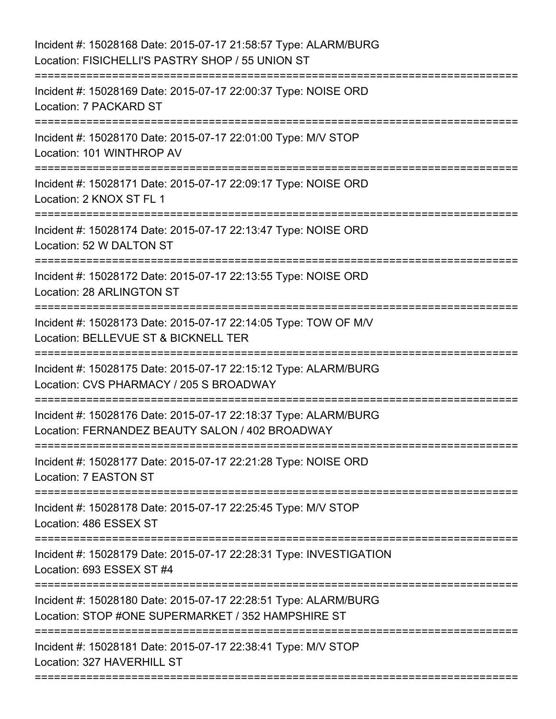| Incident #: 15028169 Date: 2015-07-17 22:00:37 Type: NOISE ORD<br>Location: 7 PACKARD ST<br>Incident #: 15028170 Date: 2015-07-17 22:01:00 Type: M/V STOP<br>Location: 101 WINTHROP AV<br>================================<br>Incident #: 15028171 Date: 2015-07-17 22:09:17 Type: NOISE ORD<br>Location: 2 KNOX ST FL 1<br>Incident #: 15028174 Date: 2015-07-17 22:13:47 Type: NOISE ORD<br>Location: 52 W DALTON ST<br>Incident #: 15028172 Date: 2015-07-17 22:13:55 Type: NOISE ORD<br>Location: 28 ARLINGTON ST<br>Incident #: 15028173 Date: 2015-07-17 22:14:05 Type: TOW OF M/V<br>Location: BELLEVUE ST & BICKNELL TER<br>:===================================== |
|----------------------------------------------------------------------------------------------------------------------------------------------------------------------------------------------------------------------------------------------------------------------------------------------------------------------------------------------------------------------------------------------------------------------------------------------------------------------------------------------------------------------------------------------------------------------------------------------------------------------------------------------------------------------------|
|                                                                                                                                                                                                                                                                                                                                                                                                                                                                                                                                                                                                                                                                            |
|                                                                                                                                                                                                                                                                                                                                                                                                                                                                                                                                                                                                                                                                            |
|                                                                                                                                                                                                                                                                                                                                                                                                                                                                                                                                                                                                                                                                            |
|                                                                                                                                                                                                                                                                                                                                                                                                                                                                                                                                                                                                                                                                            |
|                                                                                                                                                                                                                                                                                                                                                                                                                                                                                                                                                                                                                                                                            |
|                                                                                                                                                                                                                                                                                                                                                                                                                                                                                                                                                                                                                                                                            |
| Incident #: 15028175 Date: 2015-07-17 22:15:12 Type: ALARM/BURG<br>Location: CVS PHARMACY / 205 S BROADWAY                                                                                                                                                                                                                                                                                                                                                                                                                                                                                                                                                                 |
| Incident #: 15028176 Date: 2015-07-17 22:18:37 Type: ALARM/BURG<br>Location: FERNANDEZ BEAUTY SALON / 402 BROADWAY                                                                                                                                                                                                                                                                                                                                                                                                                                                                                                                                                         |
| Incident #: 15028177 Date: 2015-07-17 22:21:28 Type: NOISE ORD<br>Location: 7 EASTON ST                                                                                                                                                                                                                                                                                                                                                                                                                                                                                                                                                                                    |
| Incident #: 15028178 Date: 2015-07-17 22:25:45 Type: M/V STOP<br>Location: 486 ESSEX ST                                                                                                                                                                                                                                                                                                                                                                                                                                                                                                                                                                                    |
| Incident #: 15028179 Date: 2015-07-17 22:28:31 Type: INVESTIGATION<br>Location: 693 ESSEX ST #4                                                                                                                                                                                                                                                                                                                                                                                                                                                                                                                                                                            |
| Incident #: 15028180 Date: 2015-07-17 22:28:51 Type: ALARM/BURG<br>Location: STOP #ONE SUPERMARKET / 352 HAMPSHIRE ST                                                                                                                                                                                                                                                                                                                                                                                                                                                                                                                                                      |
| Incident #: 15028181 Date: 2015-07-17 22:38:41 Type: M/V STOP<br>Location: 327 HAVERHILL ST                                                                                                                                                                                                                                                                                                                                                                                                                                                                                                                                                                                |